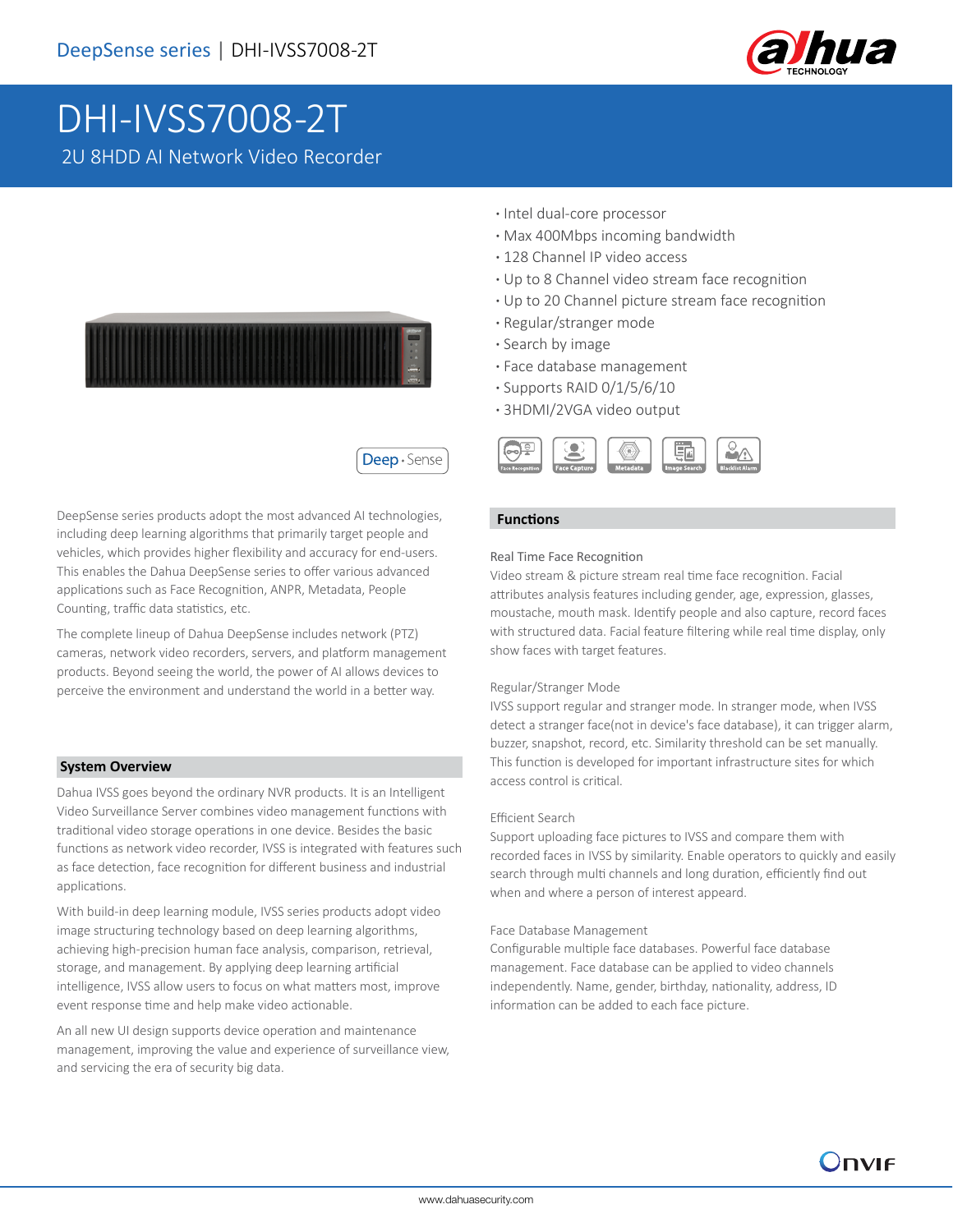

# DHI-IVSS7008-2T 2U 8HDD AI Network Video Recorder



Deep · Sense

DeepSense series products adopt the most advanced AI technologies, including deep learning algorithms that primarily target people and vehicles, which provides higher flexibility and accuracy for end-users. This enables the Dahua DeepSense series to offer various advanced applications such as Face Recognition, ANPR, Metadata, People Counting, traffic data statistics, etc.

The complete lineup of Dahua DeepSense includes network (PTZ) cameras, network video recorders, servers, and platform management products. Beyond seeing the world, the power of AI allows devices to perceive the environment and understand the world in a better way.

#### **System Overview**

Dahua IVSS goes beyond the ordinary NVR products. It is an Intelligent Video Surveillance Server combines video management functions with traditional video storage operations in one device. Besides the basic functions as network video recorder, IVSS is integrated with features such as face detection, face recognition for different business and industrial applications.

With build-in deep learning module, IVSS series products adopt video image structuring technology based on deep learning algorithms, achieving high-precision human face analysis, comparison, retrieval, storage, and management. By applying deep learning artificial intelligence, IVSS allow users to focus on what matters most, improve event response time and help make video actionable.

An all new UI design supports device operation and maintenance management, improving the value and experience of surveillance view, and servicing the era of security big data.

- **·** Intel dual-core processor
- **·** Max 400Mbps incoming bandwidth
- **·** 128 Channel IP video access
- **·** Up to 8 Channel video stream face recognition
- **·** Up to 20 Channel picture stream face recognition
- **·** Regular/stranger mode
- **·** Search by image
- **·** Face database management
- **·** Supports RAID 0/1/5/6/10
- **·** 3HDMI/2VGA video output



#### **Functions**

### Real Time Face Recognition

Video stream & picture stream real time face recognition. Facial attributes analysis features including gender, age, expression, glasses, moustache, mouth mask. Identify people and also capture, record faces with structured data. Facial feature filtering while real time display, only show faces with target features.

#### Regular/Stranger Mode

IVSS support regular and stranger mode. In stranger mode, when IVSS detect a stranger face(not in device's face database), it can trigger alarm, buzzer, snapshot, record, etc. Similarity threshold can be set manually. This function is developed for important infrastructure sites for which access control is critical.

#### Efficient Search

Support uploading face pictures to IVSS and compare them with recorded faces in IVSS by similarity. Enable operators to quickly and easily search through multi channels and long duration, efficiently find out when and where a person of interest appeard.

#### Face Database Management

Configurable multiple face databases. Powerful face database management. Face database can be applied to video channels independently. Name, gender, birthday, nationality, address, ID information can be added to each face picture.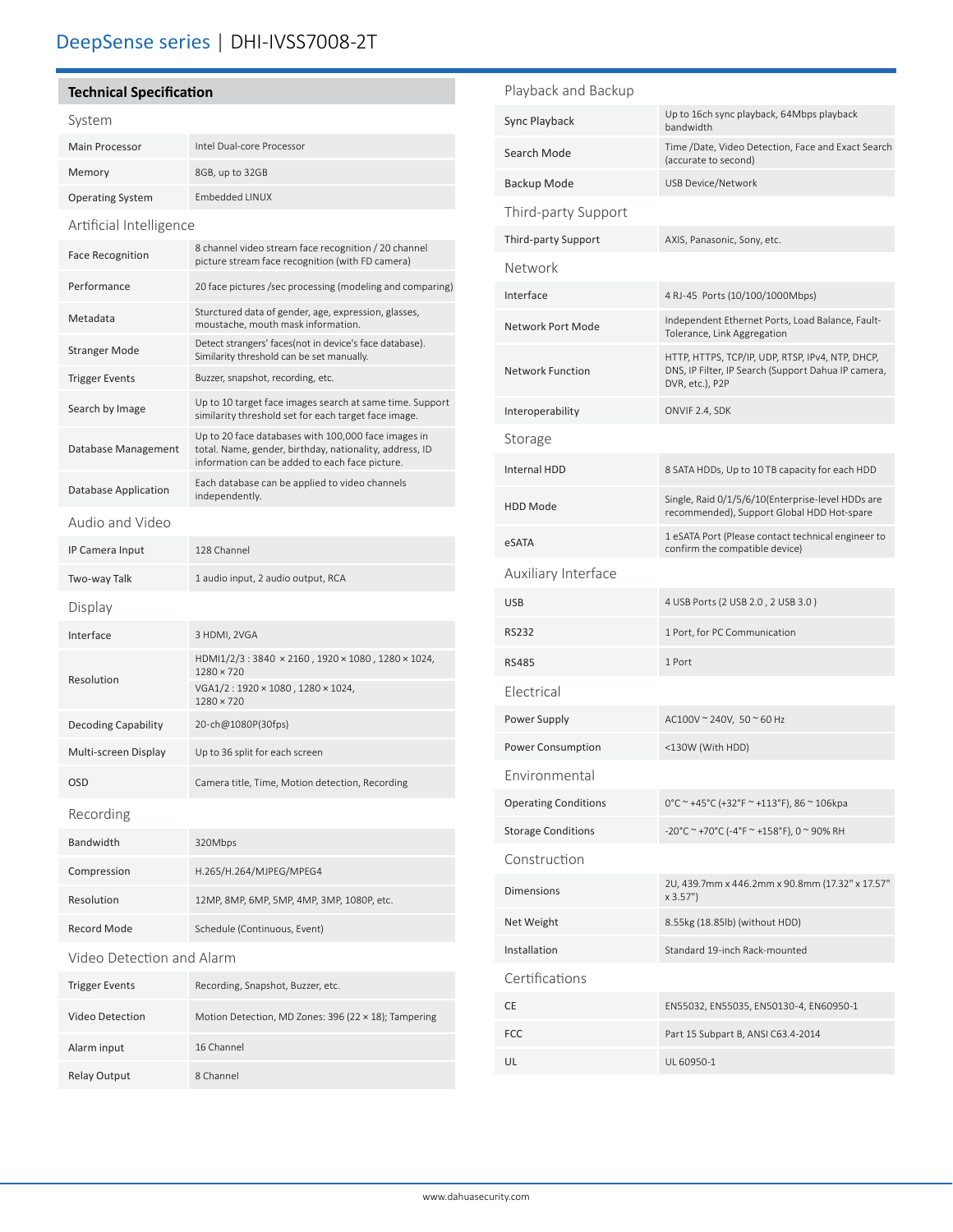# **Technical Specification**

# System

| Main Processor          | Intel Dual-core Processor |
|-------------------------|---------------------------|
| Memory                  | 8GB, up to 32GB           |
| <b>Operating System</b> | Embedded LINUX            |

Artificial Intelligence

| <b>Face Recognition</b>    | 8 channel video stream face recognition / 20 channel<br>picture stream face recognition (with FD camera)                                                         |  |  |  |
|----------------------------|------------------------------------------------------------------------------------------------------------------------------------------------------------------|--|--|--|
| Performance                | 20 face pictures /sec processing (modeling and comparing)                                                                                                        |  |  |  |
| Metadata                   | Sturctured data of gender, age, expression, glasses,<br>moustache, mouth mask information.                                                                       |  |  |  |
| Stranger Mode              | Detect strangers' faces (not in device's face database).<br>Similarity threshold can be set manually.                                                            |  |  |  |
| <b>Trigger Events</b>      | Buzzer, snapshot, recording, etc.                                                                                                                                |  |  |  |
| Search by Image            | Up to 10 target face images search at same time. Support<br>similarity threshold set for each target face image.                                                 |  |  |  |
| Database Management        | Up to 20 face databases with 100,000 face images in<br>total. Name, gender, birthday, nationality, address, ID<br>information can be added to each face picture. |  |  |  |
| Database Application       | Each database can be applied to video channels<br>independently.                                                                                                 |  |  |  |
| Audio and Video            |                                                                                                                                                                  |  |  |  |
| IP Camera Input            | 128 Channel                                                                                                                                                      |  |  |  |
| Two-way Talk               | 1 audio input, 2 audio output, RCA                                                                                                                               |  |  |  |
| Display                    |                                                                                                                                                                  |  |  |  |
| Interface                  | 3 HDMI, 2VGA                                                                                                                                                     |  |  |  |
| Resolution                 | HDMI1/2/3:3840 × 2160, 1920 × 1080, 1280 × 1024,<br>$1280 \times 720$<br>VGA1/2:1920 × 1080, 1280 × 1024,                                                        |  |  |  |
|                            | $1280 \times 720$                                                                                                                                                |  |  |  |
| <b>Decoding Capability</b> | 20-ch@1080P(30fps)                                                                                                                                               |  |  |  |
| Multi-screen Display       | Up to 36 split for each screen                                                                                                                                   |  |  |  |
| <b>OSD</b>                 | Camera title, Time, Motion detection, Recording                                                                                                                  |  |  |  |
| Recording                  |                                                                                                                                                                  |  |  |  |
| Bandwidth                  | 320Mbps                                                                                                                                                          |  |  |  |
| Compression                | H.265/H.264/MJPEG/MPEG4                                                                                                                                          |  |  |  |
| Resolution                 | 12MP, 8MP, 6MP, 5MP, 4MP, 3MP, 1080P, etc.                                                                                                                       |  |  |  |
| <b>Record Mode</b>         | Schedule (Continuous, Event)                                                                                                                                     |  |  |  |
| Video Detection and Alarm  |                                                                                                                                                                  |  |  |  |
| <b>Trigger Events</b>      | Recording, Snapshot, Buzzer, etc.                                                                                                                                |  |  |  |
| <b>Video Detection</b>     | Motion Detection, MD Zones: 396 (22 × 18); Tampering                                                                                                             |  |  |  |
| Alarm input                | 16 Channel                                                                                                                                                       |  |  |  |
| Relay Output               | 8 Channel                                                                                                                                                        |  |  |  |

| Up to 16ch sync playback, 64Mbps playback<br>bandwidth                                                                     |
|----------------------------------------------------------------------------------------------------------------------------|
| Time /Date, Video Detection, Face and Exact Search<br>(accurate to second)                                                 |
| USB Device/Network                                                                                                         |
|                                                                                                                            |
| AXIS, Panasonic, Sony, etc.                                                                                                |
|                                                                                                                            |
| 4 RJ-45 Ports (10/100/1000Mbps)                                                                                            |
| Independent Ethernet Ports, Load Balance, Fault-<br>Tolerance, Link Aggregation                                            |
| HTTP, HTTPS, TCP/IP, UDP, RTSP, IPv4, NTP, DHCP,<br>DNS, IP Filter, IP Search (Support Dahua IP camera,<br>DVR, etc.), P2P |
| ONVIF 2.4, SDK                                                                                                             |
|                                                                                                                            |
| 8 SATA HDDs, Up to 10 TB capacity for each HDD                                                                             |
| Single, Raid 0/1/5/6/10(Enterprise-level HDDs are<br>recommended), Support Global HDD Hot-spare                            |
| 1 eSATA Port (Please contact technical engineer to<br>confirm the compatible device)                                       |
|                                                                                                                            |
| 4 USB Ports (2 USB 2.0, 2 USB 3.0)                                                                                         |
| 1 Port, for PC Communication                                                                                               |
| 1 Port                                                                                                                     |
|                                                                                                                            |
| AC100V ~ 240V, 50 ~ 60 Hz                                                                                                  |
| <130W (With HDD)                                                                                                           |
|                                                                                                                            |
| 0°C ~ +45°C (+32°F ~ +113°F), 86 ~ 106kpa                                                                                  |
| -20°C ~ +70°C (-4°F ~ +158°F), 0 ~ 90% RH                                                                                  |
|                                                                                                                            |
| 2U, 439.7mm x 446.2mm x 90.8mm (17.32" x 17.57"<br>x 3.57")                                                                |
| 8.55kg (18.85lb) (without HDD)                                                                                             |
| Standard 19-inch Rack-mounted                                                                                              |
|                                                                                                                            |
| EN55032, EN55035, EN50130-4, EN60950-1                                                                                     |
| Part 15 Subpart B, ANSI C63.4-2014                                                                                         |
| UL 60950-1                                                                                                                 |
|                                                                                                                            |